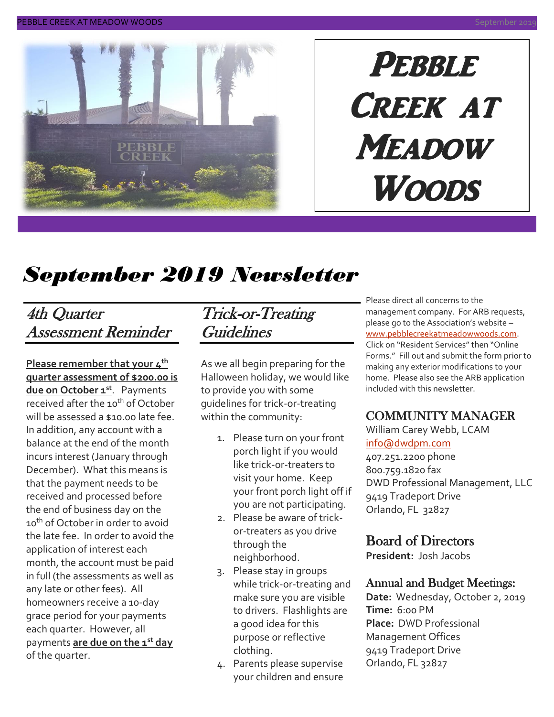

# PEBBLE Creek at **MEADOW Woods**

# *September 2019 Newsletter*

### 4th Quarter Assessment Reminder

**Please remember that your 4th quarter assessment of \$200.00 is due on October 1st** . Payments received after the 10<sup>th</sup> of October will be assessed a \$10.00 late fee. In addition, any account with a balance at the end of the month incurs interest (January through December). What this means is that the payment needs to be received and processed before the end of business day on the 10<sup>th</sup> of October in order to avoid the late fee. In order to avoid the application of interest each month, the account must be paid in full (the assessments as well as any late or other fees). All homeowners receive a 10-day grace period for your payments each quarter. However, all payments **are due on the 1st day** of the quarter.

### Trick-or-Treating Guidelines

As we all begin preparing for the Halloween holiday, we would like to provide you with some guidelines for trick-or-treating within the community:

- 1. Please turn on your front porch light if you would like trick-or-treaters to visit your home. Keep your front porch light off if you are not participating.
- 2. Please be aware of trickor-treaters as you drive through the neighborhood.
- 3. Please stay in groups while trick-or-treating and make sure you are visible to drivers. Flashlights are a good idea for this purpose or reflective clothing.
- 4. Parents please supervise your children and ensure

Please direct all concerns to the management company. For ARB requests, please go to the Association's website – [www.pebblecreekatmeadowwoods.com.](http://www.pebblecreekatmeadowwoods.com/) Click on "Resident Services" then "Online Forms." Fill out and submit the form prior to making any exterior modifications to your home. Please also see the ARB application included with this newsletter.

#### COMMUNITY MANAGER

William Carey Webb, LCAM [info@dwdpm.com](mailto:info@dwdpm.com) 

407.251.2200 phone 800.759.1820 fax DWD Professional Management, LLC 9419 Tradeport Drive Orlando, FL 32827

#### Board of Directors

**President:** Josh Jacobs

#### Annual and Budget Meetings:

**Date:** Wednesday, October 2, 2019 **Time:** 6:00 PM **Place:** DWD Professional Management Offices 9419 Tradeport Drive Orlando, FL 32827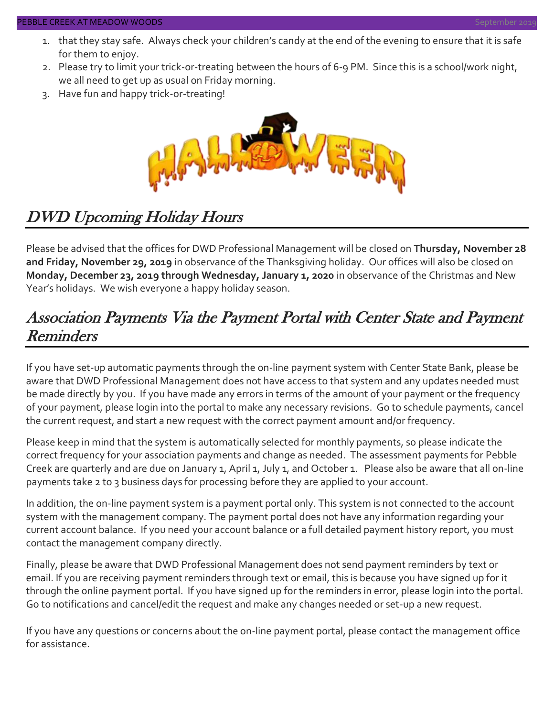#### **EBBLE CREEK AT MEADOW WOODS**

- 1. that they stay safe. Always check your children's candy at the end of the evening to ensure that it is safe for them to enjoy.
- 2. Please try to limit your trick-or-treating between the hours of 6-9 PM. Since this is a school/work night, we all need to get up as usual on Friday morning.
- 3. Have fun and happy trick-or-treating!



### DWD Upcoming Holiday Hours

Please be advised that the offices for DWD Professional Management will be closed on **Thursday, November 28 and Friday, November 29, 2019** in observance of the Thanksgiving holiday. Our offices will also be closed on **Monday, December 23, 2019 through Wednesday, January 1, 2020** in observance of the Christmas and New Year's holidays. We wish everyone a happy holiday season.

### Association Payments Via the Payment Portal with Center State and Payment **Reminders**

If you have set-up automatic payments through the on-line payment system with Center State Bank, please be aware that DWD Professional Management does not have access to that system and any updates needed must be made directly by you. If you have made any errors in terms of the amount of your payment or the frequency of your payment, please login into the portal to make any necessary revisions. Go to schedule payments, cancel the current request, and start a new request with the correct payment amount and/or frequency.

Please keep in mind that the system is automatically selected for monthly payments, so please indicate the correct frequency for your association payments and change as needed. The assessment payments for Pebble Creek are quarterly and are due on January 1, April 1, July 1, and October 1. Please also be aware that all on-line payments take 2 to 3 business days for processing before they are applied to your account.

In addition, the on-line payment system is a payment portal only. This system is not connected to the account system with the management company. The payment portal does not have any information regarding your current account balance. If you need your account balance or a full detailed payment history report, you must contact the management company directly.

Finally, please be aware that DWD Professional Management does not send payment reminders by text or email. If you are receiving payment reminders through text or email, this is because you have signed up for it through the online payment portal. If you have signed up for the reminders in error, please login into the portal. Go to notifications and cancel/edit the request and make any changes needed or set-up a new request.

If you have any questions or concerns about the on-line payment portal, please contact the management office for assistance.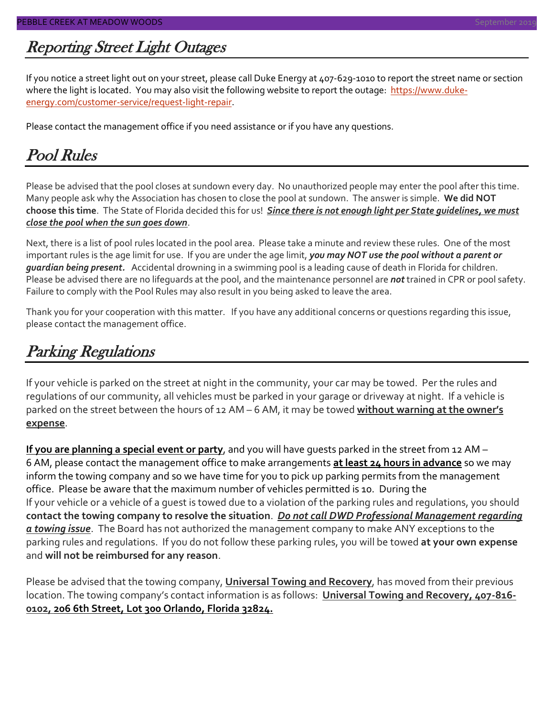### Reporting Street Light Outages

If you notice a street light out on your street, please call Duke Energy at 407-629-1010 to report the street name or section where the light is located. You may also visit the following website to report the outage: [https://www.duke](https://www.duke-energy.com/customer-service/request-light-repair)[energy.com/customer-service/request-light-repair.](https://www.duke-energy.com/customer-service/request-light-repair)

Please contact the management office if you need assistance or if you have any questions.

### Pool Rules

Please be advised that the pool closes at sundown every day. No unauthorized people may enter the pool after this time. Many people ask why the Association has chosen to close the pool at sundown. The answer is simple. **We did NOT choose this time**. The State of Florida decided this for us! *Since there is not enough light per State guidelines, we must close the pool when the sun goes down*.

Next, there is a list of pool rules located in the pool area. Please take a minute and review these rules. One of the most important rules is the age limit for use. If you are under the age limit, *you may NOT use the pool without a parent or guardian being present.* Accidental drowning in a swimming pool is a leading cause of death in Florida for children. Please be advised there are no lifeguards at the pool, and the maintenance personnel are *not* trained in CPR or pool safety. Failure to comply with the Pool Rules may also result in you being asked to leave the area.

Thank you for your cooperation with this matter. If you have any additional concerns or questions regarding this issue, please contact the management office.

### Parking Regulations

If your vehicle is parked on the street at night in the community, your car may be towed. Per the rules and regulations of our community, all vehicles must be parked in your garage or driveway at night. If a vehicle is parked on the street between the hours of 12 AM – 6 AM, it may be towed **without warning at the owner's expense**.

**If you are planning a special event or party**, and you will have guests parked in the street from 12 AM – 6 AM, please contact the management office to make arrangements **at least 24 hours in advance** so we may inform the towing company and so we have time for you to pick up parking permits from the management office. Please be aware that the maximum number of vehicles permitted is 10. During the If your vehicle or a vehicle of a guest is towed due to a violation of the parking rules and regulations, you should **contact the towing company to resolve the situation**. *Do not call DWD Professional Management regarding a towing issue*. The Board has not authorized the management company to make ANY exceptions to the parking rules and regulations. If you do not follow these parking rules, you will be towed **at your own expense** and **will not be reimbursed for any reason**.

Please be advised that the towing company, **Universal Towing and Recovery**, has moved from their previous location. The towing company's contact information is as follows: **Universal Towing and Recovery, 407-816- 0102, 206 6th Street, Lot 300 Orlando, Florida 32824.**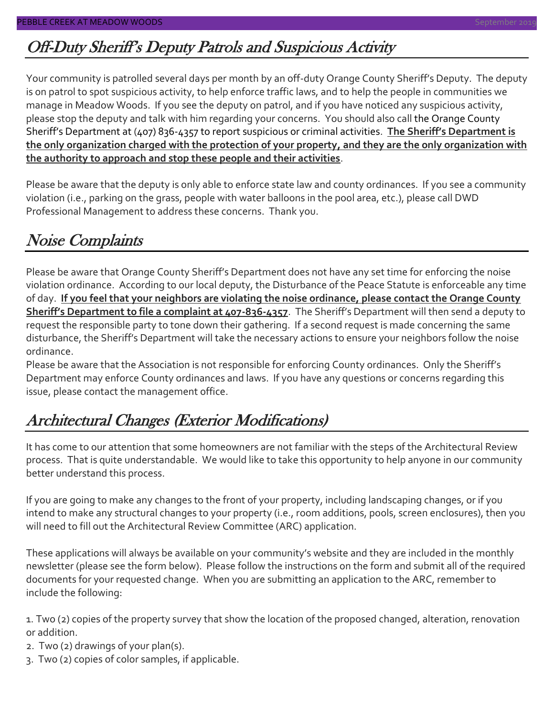### Off-Duty Sheriff's Deputy Patrols and Suspicious Activity

Your community is patrolled several days per month by an off-duty Orange County Sheriff's Deputy. The deputy is on patrol to spot suspicious activity, to help enforce traffic laws, and to help the people in communities we manage in Meadow Woods. If you see the deputy on patrol, and if you have noticed any suspicious activity, please stop the deputy and talk with him regarding your concerns. You should also call the Orange County Sheriff's Department at (407) 836-4357 to report suspicious or criminal activities. **The Sheriff's Department is the only organization charged with the protection of your property, and they are the only organization with the authority to approach and stop these people and their activities**.

Please be aware that the deputy is only able to enforce state law and county ordinances. If you see a community violation (i.e., parking on the grass, people with water balloons in the pool area, etc.), please call DWD Professional Management to address these concerns. Thank you.

### Noise Complaints

Please be aware that Orange County Sheriff's Department does not have any set time for enforcing the noise violation ordinance. According to our local deputy, the Disturbance of the Peace Statute is enforceable any time of day. **If you feel that your neighbors are violating the noise ordinance, please contact the Orange County Sheriff's Department to file a complaint at 407-836-4357**. The Sheriff's Department will then send a deputy to request the responsible party to tone down their gathering. If a second request is made concerning the same disturbance, the Sheriff's Department will take the necessary actions to ensure your neighbors follow the noise ordinance.

Please be aware that the Association is not responsible for enforcing County ordinances. Only the Sheriff's Department may enforce County ordinances and laws. If you have any questions or concerns regarding this issue, please contact the management office.

### Architectural Changes (Exterior Modifications)

It has come to our attention that some homeowners are not familiar with the steps of the Architectural Review process. That is quite understandable. We would like to take this opportunity to help anyone in our community better understand this process.

If you are going to make any changes to the front of your property, including landscaping changes, or if you intend to make any structural changes to your property (i.e., room additions, pools, screen enclosures), then you will need to fill out the Architectural Review Committee (ARC) application.

These applications will always be available on your community's website and they are included in the monthly newsletter (please see the form below). Please follow the instructions on the form and submit all of the required documents for your requested change. When you are submitting an application to the ARC, remember to include the following:

1. Two (2) copies of the property survey that show the location of the proposed changed, alteration, renovation or addition.

- 2. Two (2) drawings of your plan(s).
- 3. Two (2) copies of color samples, if applicable.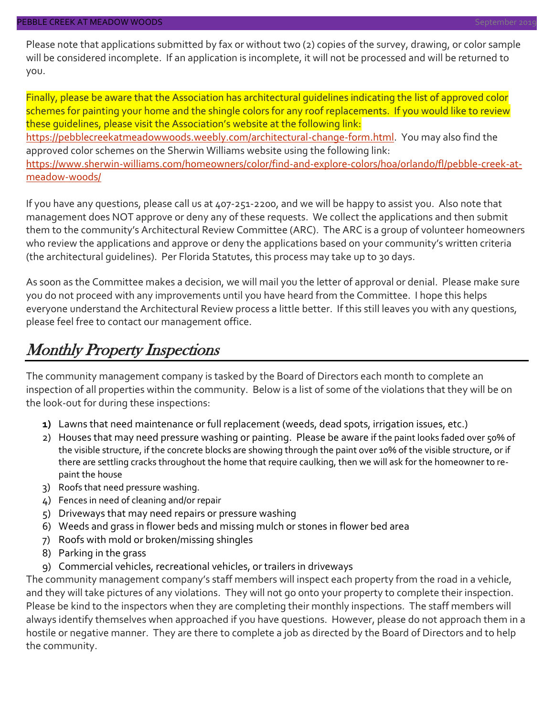Please note that applications submitted by fax or without two (2) copies of the survey, drawing, or color sample will be considered incomplete. If an application is incomplete, it will not be processed and will be returned to you.

Finally, please be aware that the Association has architectural guidelines indicating the list of approved color schemes for painting your home and the shingle colors for any roof replacements. If you would like to review these guidelines, please visit the Association's website at the following link: [https://pebblecreekatmeadowwoods.weebly.com/architectural-change-form.html.](https://pebblecreekatmeadowwoods.weebly.com/architectural-change-form.html) You may also find the approved color schemes on the Sherwin Williams website using the following link: [https://www.sherwin-williams.com/homeowners/color/find-and-explore-colors/hoa/orlando/fl/pebble-creek-at](https://www.sherwin-williams.com/homeowners/color/find-and-explore-colors/hoa/orlando/fl/pebble-creek-at-meadow-woods/)[meadow-woods/](https://www.sherwin-williams.com/homeowners/color/find-and-explore-colors/hoa/orlando/fl/pebble-creek-at-meadow-woods/)

If you have any questions, please call us at 407-251-2200, and we will be happy to assist you. Also note that management does NOT approve or deny any of these requests. We collect the applications and then submit them to the community's Architectural Review Committee (ARC). The ARC is a group of volunteer homeowners who review the applications and approve or deny the applications based on your community's written criteria (the architectural guidelines). Per Florida Statutes, this process may take up to 30 days.

As soon as the Committee makes a decision, we will mail you the letter of approval or denial. Please make sure you do not proceed with any improvements until you have heard from the Committee. I hope this helps everyone understand the Architectural Review process a little better. If this still leaves you with any questions, please feel free to contact our management office.

#### Monthly Property Inspections

The community management company is tasked by the Board of Directors each month to complete an inspection of all properties within the community. Below is a list of some of the violations that they will be on the look-out for during these inspections:

- **1)** Lawns that need maintenance or full replacement (weeds, dead spots, irrigation issues, etc.)
- 2) Houses that may need pressure washing or painting. Please be aware if the paint looks faded over 50% of the visible structure, if the concrete blocks are showing through the paint over 10% of the visible structure, or if there are settling cracks throughout the home that require caulking, then we will ask for the homeowner to repaint the house
- 3) Roofs that need pressure washing.
- 4) Fences in need of cleaning and/or repair
- 5) Driveways that may need repairs or pressure washing
- 6) Weeds and grass in flower beds and missing mulch or stones in flower bed area
- 7) Roofs with mold or broken/missing shingles
- 8) Parking in the grass
- 9) Commercial vehicles, recreational vehicles, or trailers in driveways

The community management company's staff members will inspect each property from the road in a vehicle, and they will take pictures of any violations. They will not go onto your property to complete their inspection. Please be kind to the inspectors when they are completing their monthly inspections. The staff members will always identify themselves when approached if you have questions. However, please do not approach them in a hostile or negative manner. They are there to complete a job as directed by the Board of Directors and to help the community.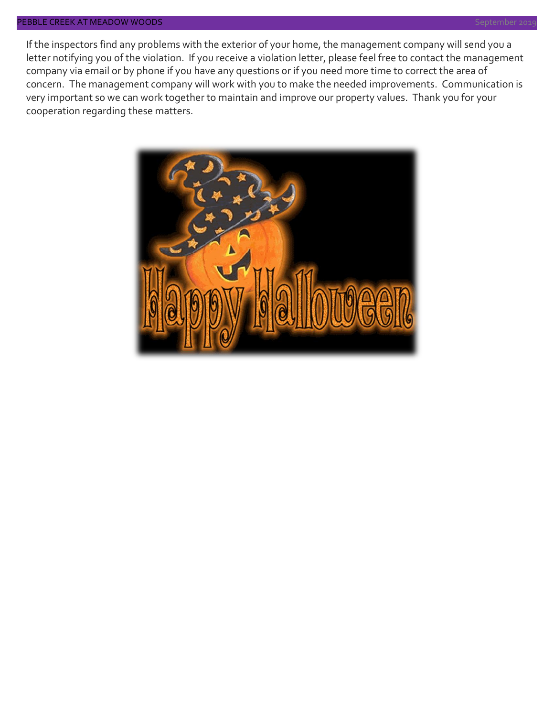#### PEBBLE CREEK AT MEADOW WOODS in the state of the state of the state of the state of the state of the September 20

If the inspectors find any problems with the exterior of your home, the management company will send you a letter notifying you of the violation. If you receive a violation letter, please feel free to contact the management company via email or by phone if you have any questions or if you need more time to correct the area of concern. The management company will work with you to make the needed improvements. Communication is very important so we can work together to maintain and improve our property values. Thank you for your cooperation regarding these matters.

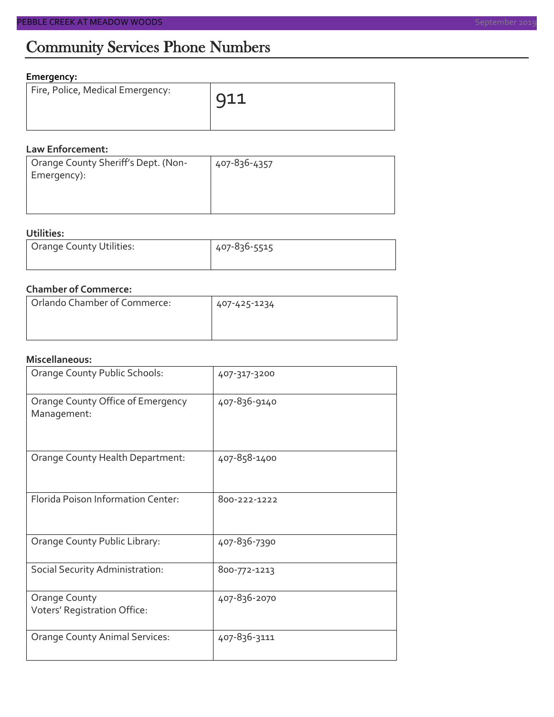### Community Services Phone Numbers

#### **Emergency:**

| Fire, Police, Medical Emergency: | $\overline{911}$ |
|----------------------------------|------------------|
|                                  |                  |

#### **Law Enforcement:**

| Orange County Sheriff's Dept. (Non- | 407-836-4357 |
|-------------------------------------|--------------|
| Emergency):                         |              |
|                                     |              |
|                                     |              |

#### **Utilities:**

| Orange County Utilities: | 407-836-5515 |  |  |
|--------------------------|--------------|--|--|
|                          |              |  |  |

#### **Chamber of Commerce:**

| Orlando Chamber of Commerce: | 407-425-1234 |  |  |
|------------------------------|--------------|--|--|
|                              |              |  |  |

#### **Miscellaneous:**

| Orange County Public Schools:                    | 407-317-3200 |
|--------------------------------------------------|--------------|
| Orange County Office of Emergency<br>Management: | 407-836-9140 |
| Orange County Health Department:                 | 407-858-1400 |
| Florida Poison Information Center:               | 800-222-1222 |
| Orange County Public Library:                    | 407-836-7390 |
| Social Security Administration:                  | 800-772-1213 |
| Orange County<br>Voters' Registration Office:    | 407-836-2070 |
| <b>Orange County Animal Services:</b>            | 407-836-3111 |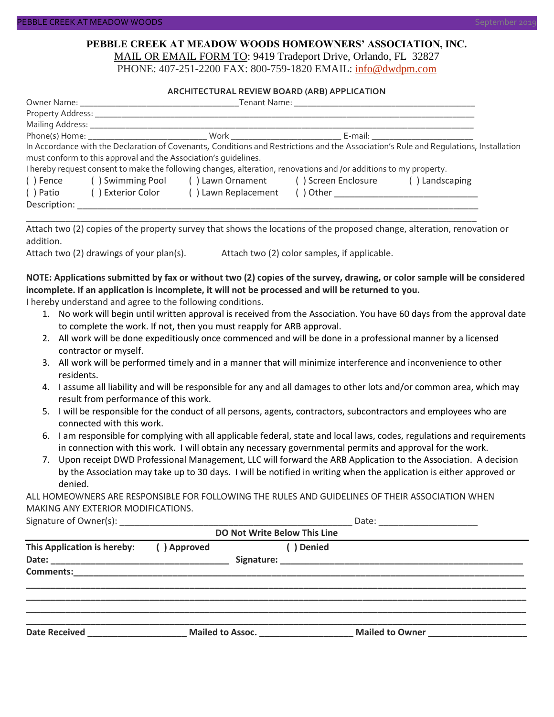#### **PEBBLE CREEK AT MEADOW WOODS HOMEOWNERS' ASSOCIATION, INC.** MAIL OR EMAIL FORM TO: 9419 Tradeport Drive, Orlando, FL 32827

PHONE: 407-251-2200 FAX: 800-759-1820 EMAIL: [info@dwdpm.com](mailto:info@dwdpm.com)

#### **ARCHITECTURAL REVIEW BOARD (ARB) APPLICATION**

|                                                                    | Tenant Name: Tenant Name                                        |                                                                                                                   |                                                                                                                                                                                                                                |                                                                                                                                       |  |
|--------------------------------------------------------------------|-----------------------------------------------------------------|-------------------------------------------------------------------------------------------------------------------|--------------------------------------------------------------------------------------------------------------------------------------------------------------------------------------------------------------------------------|---------------------------------------------------------------------------------------------------------------------------------------|--|
|                                                                    | Property Address: _______________                               |                                                                                                                   |                                                                                                                                                                                                                                |                                                                                                                                       |  |
|                                                                    | Mailing Address: ______________                                 |                                                                                                                   |                                                                                                                                                                                                                                |                                                                                                                                       |  |
|                                                                    |                                                                 |                                                                                                                   | E-mail: E-mail: E-mail: E-mail: E-mail: E-mail: E-mail: E-mail: E-mail: E-mail: E-mail: E-mail: E-mail: E-mail: E-mail: E-mail: E-mail: E-mail: E-mail: E-mail: E-mail: E-mail: E-mail: E-mail: E-mail: E-mail: E-mail: E-mail |                                                                                                                                       |  |
|                                                                    |                                                                 |                                                                                                                   |                                                                                                                                                                                                                                | In Accordance with the Declaration of Covenants, Conditions and Restrictions and the Association's Rule and Requlations, Installation |  |
|                                                                    | must conform to this approval and the Association's quidelines. |                                                                                                                   |                                                                                                                                                                                                                                |                                                                                                                                       |  |
|                                                                    |                                                                 | I hereby request consent to make the following changes, alteration, renovations and /or additions to my property. |                                                                                                                                                                                                                                |                                                                                                                                       |  |
| () Swimming Pool () Lawn Ornament () Screen Enclosure<br>( ) Fence |                                                                 |                                                                                                                   |                                                                                                                                                                                                                                | () Landscaping                                                                                                                        |  |
| ( ) Patio                                                          | ( ) Exterior Color                                              | () Lawn Replacement                                                                                               |                                                                                                                                                                                                                                |                                                                                                                                       |  |
| Description:                                                       |                                                                 |                                                                                                                   |                                                                                                                                                                                                                                |                                                                                                                                       |  |

Attach two (2) copies of the property survey that shows the locations of the proposed change, alteration, renovation or addition.

\_\_\_\_\_\_\_\_\_\_\_\_\_\_\_\_\_\_\_\_\_\_\_\_\_\_\_\_\_\_\_\_\_\_\_\_\_\_\_\_\_\_\_\_\_\_\_\_\_\_\_\_\_\_\_\_\_\_\_\_\_\_\_\_\_\_\_\_\_\_\_\_\_\_\_\_\_\_\_\_\_\_\_\_\_\_\_\_\_\_\_

Attach two (2) drawings of your plan(s). Attach two (2) color samples, if applicable.

#### **NOTE: Applications submitted by fax or without two (2) copies of the survey, drawing, or color sample will be considered incomplete. If an application is incomplete, it will not be processed and will be returned to you.**

I hereby understand and agree to the following conditions.

- 1. No work will begin until written approval is received from the Association. You have 60 days from the approval date to complete the work. If not, then you must reapply for ARB approval.
- 2. All work will be done expeditiously once commenced and will be done in a professional manner by a licensed contractor or myself.
- 3. All work will be performed timely and in a manner that will minimize interference and inconvenience to other residents.
- 4. I assume all liability and will be responsible for any and all damages to other lots and/or common area, which may result from performance of this work.
- 5. I will be responsible for the conduct of all persons, agents, contractors, subcontractors and employees who are connected with this work.
- 6. I am responsible for complying with all applicable federal, state and local laws, codes, regulations and requirements in connection with this work. I will obtain any necessary governmental permits and approval for the work.
- 7. Upon receipt DWD Professional Management, LLC will forward the ARB Application to the Association. A decision by the Association may take up to 30 days. I will be notified in writing when the application is either approved or denied.

ALL HOMEOWNERS ARE RESPONSIBLE FOR FOLLOWING THE RULES AND GUIDELINES OF THEIR ASSOCIATION WHEN MAKING ANY EXTERIOR MODIFICATIONS.

Signature of Owner(s):  $\Box$ 

| <b>DO Not Write Below This Line</b> |             |                  |            |                        |  |  |
|-------------------------------------|-------------|------------------|------------|------------------------|--|--|
| This Application is hereby:         | () Approved |                  | ( ) Denied |                        |  |  |
| <b>Comments:</b>                    |             |                  |            |                        |  |  |
| <b>Date Received</b>                |             | Mailed to Assoc. |            | <b>Mailed to Owner</b> |  |  |